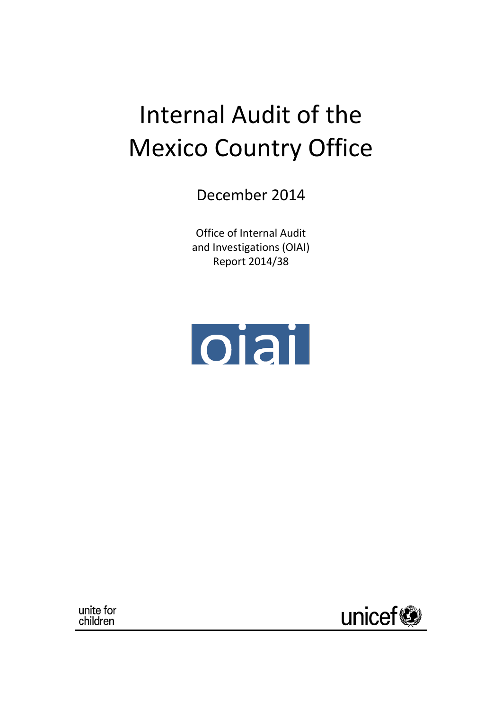# Internal Audit of the Mexico Country Office

December 2014

Office of Internal Audit and Investigations (OIAI) Report 2014/38



unite for children

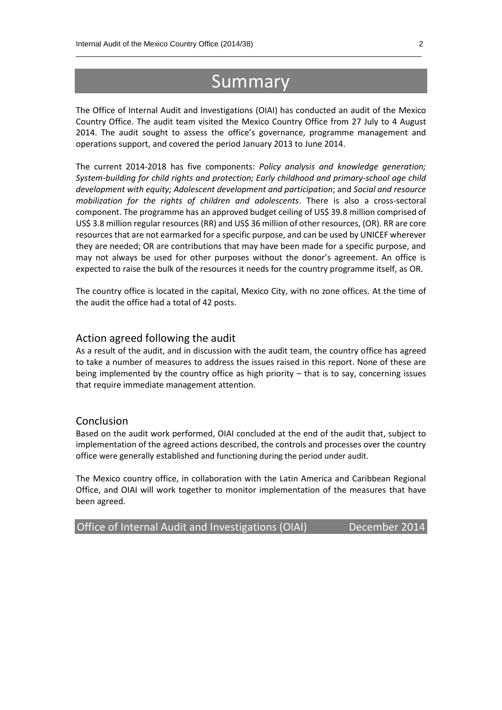## **Summary**

 $\_$  , and the set of the set of the set of the set of the set of the set of the set of the set of the set of the set of the set of the set of the set of the set of the set of the set of the set of the set of the set of th

The Office of Internal Audit and Investigations (OIAI) has conducted an audit of the Mexico Country Office. The audit team visited the Mexico Country Office from 27 July to 4 August 2014. The audit sought to assess the office's governance, programme management and operations support, and covered the period January 2013 to June 2014.

The current 2014-2018 has five components: *Policy analysis and knowledge generation; System-building for child rights and protection; Early childhood and primary-school age child development with equity; Adolescent development and participation*; and *Social and resource mobilization for the rights of children and adolescents*. There is also a cross-sectoral component. The programme has an approved budget ceiling of US\$ 39.8 million comprised of US\$ 3.8 million regular resources (RR) and US\$ 36 million of other resources, (OR). RR are core resources that are not earmarked for a specific purpose, and can be used by UNICEF wherever they are needed; OR are contributions that may have been made for a specific purpose, and may not always be used for other purposes without the donor's agreement. An office is expected to raise the bulk of the resources it needs for the country programme itself, as OR.

The country office is located in the capital, Mexico City, with no zone offices. At the time of the audit the office had a total of 42 posts.

#### Action agreed following the audit

As a result of the audit, and in discussion with the audit team, the country office has agreed to take a number of measures to address the issues raised in this report. None of these are being implemented by the country office as high priority – that is to say, concerning issues that require immediate management attention.

#### Conclusion

Based on the audit work performed, OIAI concluded at the end of the audit that, subject to implementation of the agreed actions described, the controls and processes over the country office were generally established and functioning during the period under audit.

The Mexico country office, in collaboration with the Latin America and Caribbean Regional Office, and OIAI will work together to monitor implementation of the measures that have been agreed.

Office of Internal Audit and Investigations (OIAI) December 2014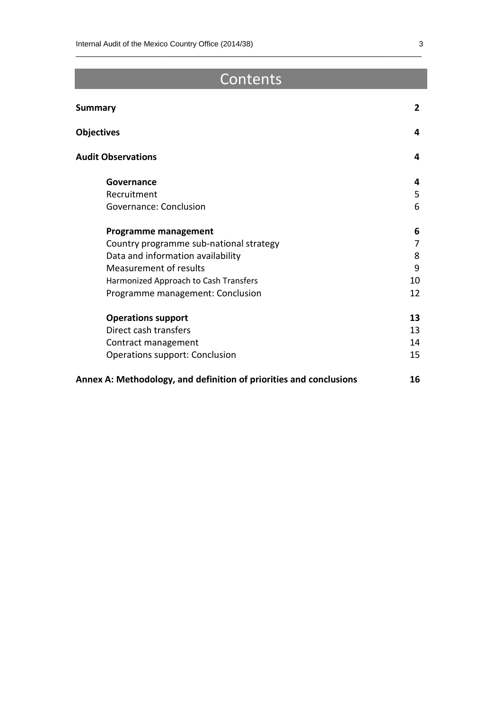## **Contents**

 $\_$  , and the set of the set of the set of the set of the set of the set of the set of the set of the set of the set of the set of the set of the set of the set of the set of the set of the set of the set of the set of th

| Summary                                                            | $\overline{2}$ |
|--------------------------------------------------------------------|----------------|
| <b>Objectives</b>                                                  | 4              |
| <b>Audit Observations</b>                                          | 4              |
| Governance                                                         | 4              |
| Recruitment                                                        | 5              |
| Governance: Conclusion                                             | 6              |
| Programme management                                               | 6              |
| Country programme sub-national strategy                            | $\overline{7}$ |
| Data and information availability                                  | 8              |
| <b>Measurement of results</b>                                      | 9              |
| Harmonized Approach to Cash Transfers                              | 10             |
| Programme management: Conclusion                                   | 12             |
| <b>Operations support</b>                                          | 13             |
| Direct cash transfers                                              | 13             |
| Contract management                                                | 14             |
| Operations support: Conclusion                                     | 15             |
| Annex A: Methodology, and definition of priorities and conclusions | 16             |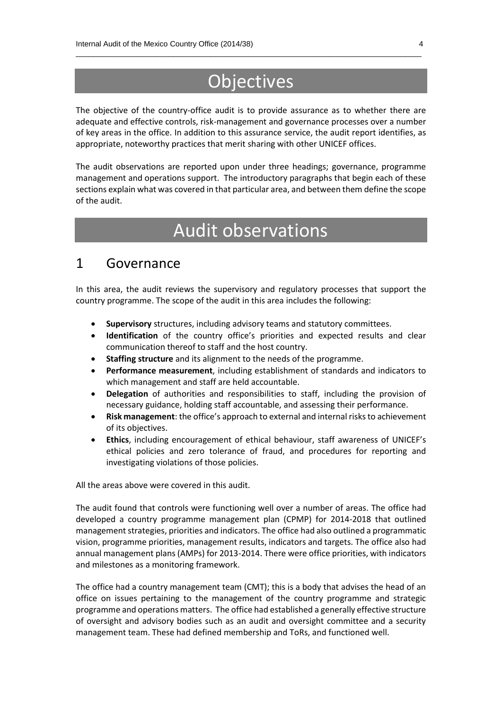## **Objectives**

 $\_$  , and the set of the set of the set of the set of the set of the set of the set of the set of the set of the set of the set of the set of the set of the set of the set of the set of the set of the set of the set of th

The objective of the country-office audit is to provide assurance as to whether there are adequate and effective controls, risk-management and governance processes over a number of key areas in the office. In addition to this assurance service, the audit report identifies, as appropriate, noteworthy practices that merit sharing with other UNICEF offices.

The audit observations are reported upon under three headings; governance, programme management and operations support. The introductory paragraphs that begin each of these sections explain what was covered in that particular area, and between them define the scope of the audit.

## Audit observations

### 1 Governance

In this area, the audit reviews the supervisory and regulatory processes that support the country programme. The scope of the audit in this area includes the following:

- **Supervisory** structures, including advisory teams and statutory committees.
- **Identification** of the country office's priorities and expected results and clear communication thereof to staff and the host country.
- **Staffing structure** and its alignment to the needs of the programme.
- **Performance measurement**, including establishment of standards and indicators to which management and staff are held accountable.
- **Delegation** of authorities and responsibilities to staff, including the provision of necessary guidance, holding staff accountable, and assessing their performance.
- **Risk management**: the office's approach to external and internal risks to achievement of its objectives.
- **Ethics**, including encouragement of ethical behaviour, staff awareness of UNICEF's ethical policies and zero tolerance of fraud, and procedures for reporting and investigating violations of those policies.

All the areas above were covered in this audit.

The audit found that controls were functioning well over a number of areas. The office had developed a country programme management plan (CPMP) for 2014-2018 that outlined management strategies, priorities and indicators. The office had also outlined a programmatic vision, programme priorities, management results, indicators and targets. The office also had annual management plans (AMPs) for 2013-2014. There were office priorities, with indicators and milestones as a monitoring framework.

The office had a country management team (CMT); this is a body that advises the head of an office on issues pertaining to the management of the country programme and strategic programme and operations matters. The office had established a generally effective structure of oversight and advisory bodies such as an audit and oversight committee and a security management team. These had defined membership and ToRs, and functioned well.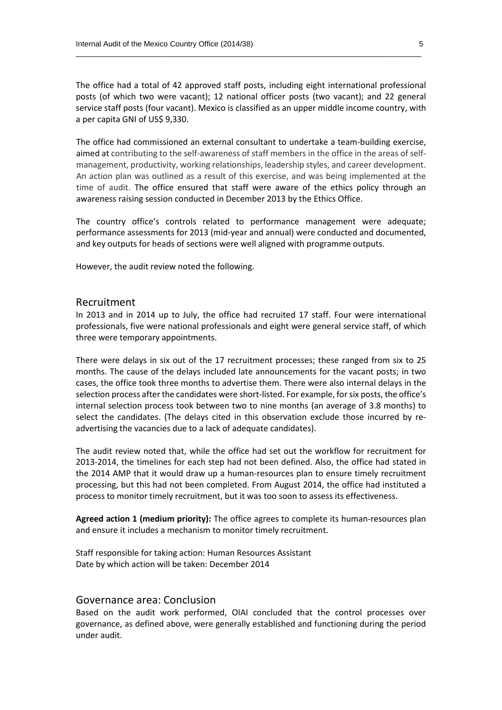The office had a total of 42 approved staff posts, including eight international professional posts (of which two were vacant); 12 national officer posts (two vacant); and 22 general service staff posts (four vacant). Mexico is classified as an upper middle income country, with a per capita GNI of US\$ 9,330.

 $\_$  , and the set of the set of the set of the set of the set of the set of the set of the set of the set of the set of the set of the set of the set of the set of the set of the set of the set of the set of the set of th

The office had commissioned an external consultant to undertake a team-building exercise, aimed at contributing to the self-awareness of staff members in the office in the areas of selfmanagement, productivity, working relationships, leadership styles, and career development. An action plan was outlined as a result of this exercise, and was being implemented at the time of audit. The office ensured that staff were aware of the ethics policy through an awareness raising session conducted in December 2013 by the Ethics Office.

The country office's controls related to performance management were adequate; performance assessments for 2013 (mid-year and annual) were conducted and documented, and key outputs for heads of sections were well aligned with programme outputs.

However, the audit review noted the following.

#### Recruitment

In 2013 and in 2014 up to July, the office had recruited 17 staff. Four were international professionals, five were national professionals and eight were general service staff, of which three were temporary appointments.

There were delays in six out of the 17 recruitment processes; these ranged from six to 25 months. The cause of the delays included late announcements for the vacant posts; in two cases, the office took three months to advertise them. There were also internal delays in the selection process after the candidates were short-listed. For example, for six posts, the office's internal selection process took between two to nine months (an average of 3.8 months) to select the candidates. (The delays cited in this observation exclude those incurred by readvertising the vacancies due to a lack of adequate candidates).

The audit review noted that, while the office had set out the workflow for recruitment for 2013-2014, the timelines for each step had not been defined. Also, the office had stated in the 2014 AMP that it would draw up a human-resources plan to ensure timely recruitment processing, but this had not been completed. From August 2014, the office had instituted a process to monitor timely recruitment, but it was too soon to assess its effectiveness.

**Agreed action 1 (medium priority):** The office agrees to complete its human-resources plan and ensure it includes a mechanism to monitor timely recruitment.

Staff responsible for taking action: Human Resources Assistant Date by which action will be taken: December 2014

#### Governance area: Conclusion

Based on the audit work performed, OIAI concluded that the control processes over governance, as defined above, were generally established and functioning during the period under audit.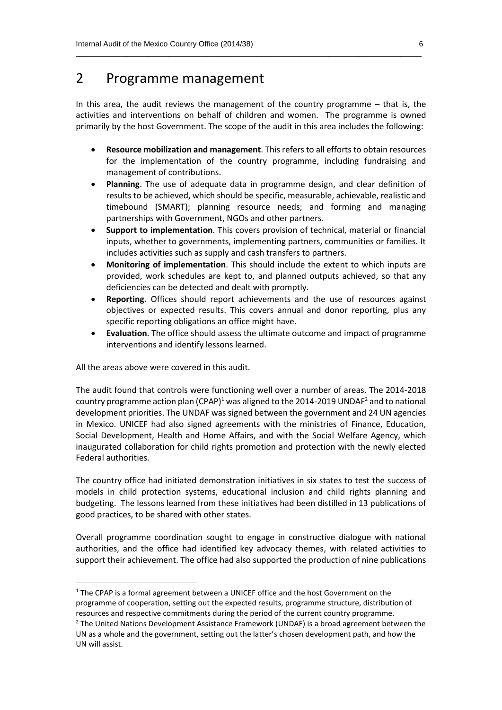### 2 Programme management

In this area, the audit reviews the management of the country programme – that is, the activities and interventions on behalf of children and women. The programme is owned primarily by the host Government. The scope of the audit in this area includes the following:

 $\_$  , and the set of the set of the set of the set of the set of the set of the set of the set of the set of the set of the set of the set of the set of the set of the set of the set of the set of the set of the set of th

- **Resource mobilization and management**. This refers to all efforts to obtain resources for the implementation of the country programme, including fundraising and management of contributions.
- **Planning**. The use of adequate data in programme design, and clear definition of results to be achieved, which should be specific, measurable, achievable, realistic and timebound (SMART); planning resource needs; and forming and managing partnerships with Government, NGOs and other partners.
- **Support to implementation**. This covers provision of technical, material or financial inputs, whether to governments, implementing partners, communities or families. It includes activities such as supply and cash transfers to partners.
- **Monitoring of implementation**. This should include the extent to which inputs are provided, work schedules are kept to, and planned outputs achieved, so that any deficiencies can be detected and dealt with promptly.
- **Reporting.** Offices should report achievements and the use of resources against objectives or expected results. This covers annual and donor reporting, plus any specific reporting obligations an office might have.
- **Evaluation**. The office should assess the ultimate outcome and impact of programme interventions and identify lessons learned.

All the areas above were covered in this audit.

**.** 

The audit found that controls were functioning well over a number of areas. The 2014-2018 country programme action plan  $(CPAP)^1$  was aligned to the 2014-2019 UNDAF<sup>2</sup> and to national development priorities. The UNDAF was signed between the government and 24 UN agencies in Mexico. UNICEF had also signed agreements with the ministries of Finance, Education, Social Development, Health and Home Affairs, and with the Social Welfare Agency, which inaugurated collaboration for child rights promotion and protection with the newly elected Federal authorities.

The country office had initiated demonstration initiatives in six states to test the success of models in child protection systems, educational inclusion and child rights planning and budgeting. The lessons learned from these initiatives had been distilled in 13 publications of good practices, to be shared with other states.

Overall programme coordination sought to engage in constructive dialogue with national authorities, and the office had identified key advocacy themes, with related activities to support their achievement. The office had also supported the production of nine publications

<sup>&</sup>lt;sup>1</sup> The CPAP is a formal agreement between a UNICEF office and the host Government on the programme of cooperation, setting out the expected results, programme structure, distribution of resources and respective commitments during the period of the current country programme.

 $2$  The United Nations Development Assistance Framework (UNDAF) is a broad agreement between the UN as a whole and the government, setting out the latter's chosen development path, and how the UN will assist.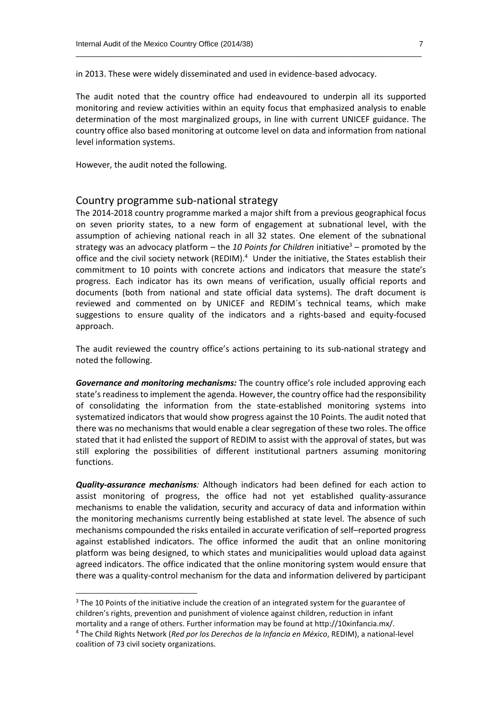in 2013. These were widely disseminated and used in evidence-based advocacy.

The audit noted that the country office had endeavoured to underpin all its supported monitoring and review activities within an equity focus that emphasized analysis to enable determination of the most marginalized groups, in line with current UNICEF guidance. The country office also based monitoring at outcome level on data and information from national level information systems.

 $\_$  , and the set of the set of the set of the set of the set of the set of the set of the set of the set of the set of the set of the set of the set of the set of the set of the set of the set of the set of the set of th

However, the audit noted the following.

 $\overline{a}$ 

#### Country programme sub-national strategy

The 2014-2018 country programme marked a major shift from a previous geographical focus on seven priority states, to a new form of engagement at subnational level, with the assumption of achieving national reach in all 32 states. One element of the subnational strategy was an advocacy platform – the 10 Points for Children initiative<sup>3</sup> – promoted by the office and the civil society network (REDIM).<sup>4</sup> Under the initiative, the States establish their commitment to 10 points with concrete actions and indicators that measure the state's progress. Each indicator has its own means of verification, usually official reports and documents (both from national and state official data systems). The draft document is reviewed and commented on by UNICEF and REDIM´s technical teams, which make suggestions to ensure quality of the indicators and a rights-based and equity-focused approach.

The audit reviewed the country office's actions pertaining to its sub-national strategy and noted the following.

*Governance and monitoring mechanisms:* The country office's role included approving each state's readiness to implement the agenda. However, the country office had the responsibility of consolidating the information from the state-established monitoring systems into systematized indicators that would show progress against the 10 Points. The audit noted that there was no mechanisms that would enable a clear segregation of these two roles. The office stated that it had enlisted the support of REDIM to assist with the approval of states, but was still exploring the possibilities of different institutional partners assuming monitoring functions.

*Quality-assurance mechanisms:* Although indicators had been defined for each action to assist monitoring of progress, the office had not yet established quality-assurance mechanisms to enable the validation, security and accuracy of data and information within the monitoring mechanisms currently being established at state level. The absence of such mechanisms compounded the risks entailed in accurate verification of self–reported progress against established indicators. The office informed the audit that an online monitoring platform was being designed, to which states and municipalities would upload data against agreed indicators. The office indicated that the online monitoring system would ensure that there was a quality-control mechanism for the data and information delivered by participant

<sup>&</sup>lt;sup>3</sup> The 10 Points of the initiative include the creation of an integrated system for the guarantee of children's rights, prevention and punishment of violence against children, reduction in infant mortality and a range of others. Further information may be found at http://10xinfancia.mx/.

<sup>4</sup> The Child Rights Network (*Red por los Derechos de la Infancia en México*, REDIM), a national-level coalition of 73 civil society organizations.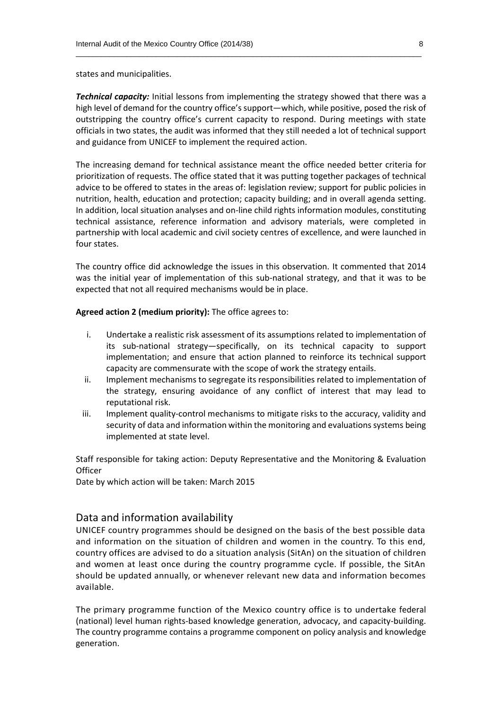states and municipalities.

*Technical capacity:* Initial lessons from implementing the strategy showed that there was a high level of demand for the country office's support—which, while positive, posed the risk of outstripping the country office's current capacity to respond. During meetings with state officials in two states, the audit was informed that they still needed a lot of technical support and guidance from UNICEF to implement the required action.

 $\_$  , and the set of the set of the set of the set of the set of the set of the set of the set of the set of the set of the set of the set of the set of the set of the set of the set of the set of the set of the set of th

The increasing demand for technical assistance meant the office needed better criteria for prioritization of requests. The office stated that it was putting together packages of technical advice to be offered to states in the areas of: legislation review; support for public policies in nutrition, health, education and protection; capacity building; and in overall agenda setting. In addition, local situation analyses and on-line child rights information modules, constituting technical assistance, reference information and advisory materials, were completed in partnership with local academic and civil society centres of excellence, and were launched in four states.

The country office did acknowledge the issues in this observation. It commented that 2014 was the initial year of implementation of this sub-national strategy, and that it was to be expected that not all required mechanisms would be in place.

**Agreed action 2 (medium priority):** The office agrees to:

- i. Undertake a realistic risk assessment of its assumptions related to implementation of its sub-national strategy—specifically, on its technical capacity to support implementation; and ensure that action planned to reinforce its technical support capacity are commensurate with the scope of work the strategy entails.
- ii. Implement mechanisms to segregate its responsibilities related to implementation of the strategy, ensuring avoidance of any conflict of interest that may lead to reputational risk.
- iii. Implement quality-control mechanisms to mitigate risks to the accuracy, validity and security of data and information within the monitoring and evaluations systems being implemented at state level.

Staff responsible for taking action: Deputy Representative and the Monitoring & Evaluation **Officer** 

Date by which action will be taken: March 2015

#### Data and information availability

UNICEF country programmes should be designed on the basis of the best possible data and information on the situation of children and women in the country. To this end, country offices are advised to do a situation analysis (SitAn) on the situation of children and women at least once during the country programme cycle. If possible, the SitAn should be updated annually, or whenever relevant new data and information becomes available.

The primary programme function of the Mexico country office is to undertake federal (national) level human rights-based knowledge generation, advocacy, and capacity-building. The country programme contains a programme component on policy analysis and knowledge generation.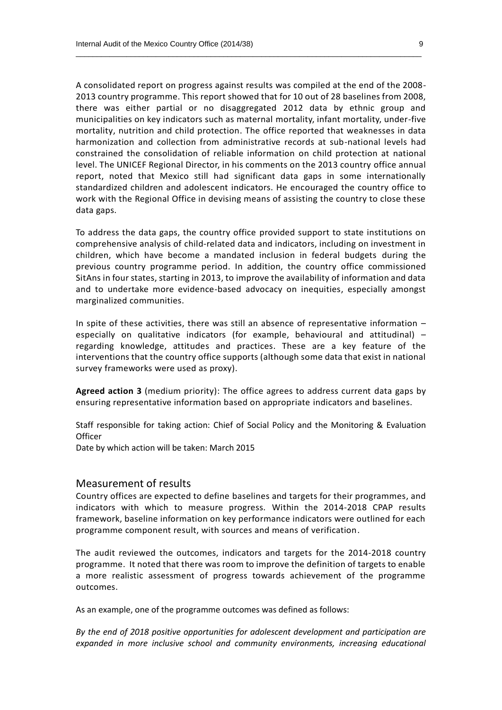A consolidated report on progress against results was compiled at the end of the 2008- 2013 country programme. This report showed that for 10 out of 28 baselines from 2008, there was either partial or no disaggregated 2012 data by ethnic group and municipalities on key indicators such as maternal mortality, infant mortality, under-five mortality, nutrition and child protection. The office reported that weaknesses in data harmonization and collection from administrative records at sub-national levels had constrained the consolidation of reliable information on child protection at national level. The UNICEF Regional Director, in his comments on the 2013 country office annual report, noted that Mexico still had significant data gaps in some internationally standardized children and adolescent indicators. He encouraged the country office to work with the Regional Office in devising means of assisting the country to close these data gaps.

 $\_$  , and the set of the set of the set of the set of the set of the set of the set of the set of the set of the set of the set of the set of the set of the set of the set of the set of the set of the set of the set of th

To address the data gaps, the country office provided support to state institutions on comprehensive analysis of child-related data and indicators, including on investment in children, which have become a mandated inclusion in federal budgets during the previous country programme period. In addition, the country office commissioned SitAns in four states, starting in 2013, to improve the availability of information and data and to undertake more evidence-based advocacy on inequities, especially amongst marginalized communities.

In spite of these activities, there was still an absence of representative information – especially on qualitative indicators (for example, behavioural and attitudinal) – regarding knowledge, attitudes and practices. These are a key feature of the interventions that the country office supports (although some data that exist in national survey frameworks were used as proxy).

**Agreed action 3** (medium priority): The office agrees to address current data gaps by ensuring representative information based on appropriate indicators and baselines.

Staff responsible for taking action: Chief of Social Policy and the Monitoring & Evaluation **Officer** 

Date by which action will be taken: March 2015

#### Measurement of results

Country offices are expected to define baselines and targets for their programmes, and indicators with which to measure progress. Within the 2014-2018 CPAP results framework, baseline information on key performance indicators were outlined for each programme component result, with sources and means of verification.

The audit reviewed the outcomes, indicators and targets for the 2014-2018 country programme. It noted that there was room to improve the definition of targets to enable a more realistic assessment of progress towards achievement of the programme outcomes.

As an example, one of the programme outcomes was defined as follows:

*By the end of 2018 positive opportunities for adolescent development and participation are expanded in more inclusive school and community environments, increasing educational*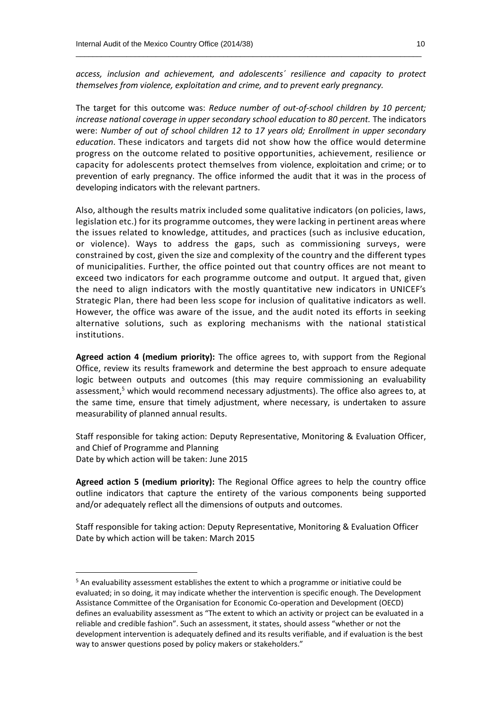*access, inclusion and achievement, and adolescents´ resilience and capacity to protect themselves from violence, exploitation and crime, and to prevent early pregnancy.*

 $\_$  , and the set of the set of the set of the set of the set of the set of the set of the set of the set of the set of the set of the set of the set of the set of the set of the set of the set of the set of the set of th

The target for this outcome was: *Reduce number of out-of-school children by 10 percent; increase national coverage in upper secondary school education to 80 percent.* The indicators were: *Number of out of school children 12 to 17 years old; Enrollment in upper secondary education*. These indicators and targets did not show how the office would determine progress on the outcome related to positive opportunities, achievement, resilience or capacity for adolescents protect themselves from violence, exploitation and crime; or to prevention of early pregnancy. The office informed the audit that it was in the process of developing indicators with the relevant partners.

Also, although the results matrix included some qualitative indicators (on policies, laws, legislation etc.) for its programme outcomes, they were lacking in pertinent areas where the issues related to knowledge, attitudes, and practices (such as inclusive education, or violence). Ways to address the gaps, such as commissioning surveys, were constrained by cost, given the size and complexity of the country and the different types of municipalities. Further, the office pointed out that country offices are not meant to exceed two indicators for each programme outcome and output. It argued that, given the need to align indicators with the mostly quantitative new indicators in UNICEF's Strategic Plan, there had been less scope for inclusion of qualitative indicators as well. However, the office was aware of the issue, and the audit noted its efforts in seeking alternative solutions, such as exploring mechanisms with the national statistical institutions.

**Agreed action 4 (medium priority):** The office agrees to, with support from the Regional Office, review its results framework and determine the best approach to ensure adequate logic between outputs and outcomes (this may require commissioning an evaluability assessment, $5$  which would recommend necessary adjustments). The office also agrees to, at the same time, ensure that timely adjustment, where necessary, is undertaken to assure measurability of planned annual results.

Staff responsible for taking action: Deputy Representative, Monitoring & Evaluation Officer, and Chief of Programme and Planning Date by which action will be taken: June 2015

**Agreed action 5 (medium priority):** The Regional Office agrees to help the country office outline indicators that capture the entirety of the various components being supported and/or adequately reflect all the dimensions of outputs and outcomes.

Staff responsible for taking action: Deputy Representative, Monitoring & Evaluation Officer Date by which action will be taken: March 2015

 $\overline{a}$ 

<sup>&</sup>lt;sup>5</sup> An evaluability assessment establishes the extent to which a programme or initiative could be evaluated; in so doing, it may indicate whether the intervention is specific enough. The Development Assistance Committee of the Organisation for Economic Co-operation and Development (OECD) defines an evaluability assessment as "The extent to which an activity or project can be evaluated in a reliable and credible fashion". Such an assessment, it states, should assess "whether or not the development intervention is adequately defined and its results verifiable, and if evaluation is the best way to answer questions posed by policy makers or stakeholders."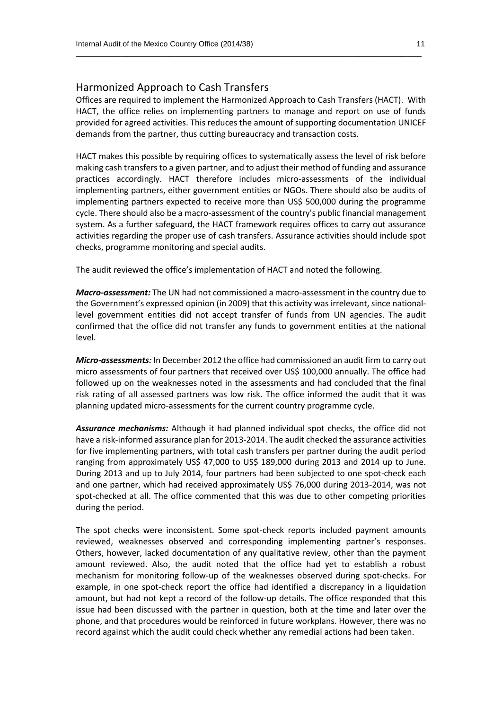#### Harmonized Approach to Cash Transfers

Offices are required to implement the Harmonized Approach to Cash Transfers (HACT). With HACT, the office relies on implementing partners to manage and report on use of funds provided for agreed activities. This reduces the amount of supporting documentation UNICEF demands from the partner, thus cutting bureaucracy and transaction costs.

 $\_$  , and the set of the set of the set of the set of the set of the set of the set of the set of the set of the set of the set of the set of the set of the set of the set of the set of the set of the set of the set of th

HACT makes this possible by requiring offices to systematically assess the level of risk before making cash transfers to a given partner, and to adjust their method of funding and assurance practices accordingly. HACT therefore includes micro-assessments of the individual implementing partners, either government entities or NGOs. There should also be audits of implementing partners expected to receive more than US\$ 500,000 during the programme cycle. There should also be a macro-assessment of the country's public financial management system. As a further safeguard, the HACT framework requires offices to carry out assurance activities regarding the proper use of cash transfers. Assurance activities should include spot checks, programme monitoring and special audits.

The audit reviewed the office's implementation of HACT and noted the following.

*Macro-assessment:* The UN had not commissioned a macro-assessment in the country due to the Government's expressed opinion (in 2009) that this activity was irrelevant, since nationallevel government entities did not accept transfer of funds from UN agencies. The audit confirmed that the office did not transfer any funds to government entities at the national level.

*Micro-assessments:* In December 2012 the office had commissioned an audit firm to carry out micro assessments of four partners that received over US\$ 100,000 annually. The office had followed up on the weaknesses noted in the assessments and had concluded that the final risk rating of all assessed partners was low risk. The office informed the audit that it was planning updated micro-assessments for the current country programme cycle.

*Assurance mechanisms:* Although it had planned individual spot checks, the office did not have a risk-informed assurance plan for 2013-2014. The audit checked the assurance activities for five implementing partners, with total cash transfers per partner during the audit period ranging from approximately US\$ 47,000 to US\$ 189,000 during 2013 and 2014 up to June. During 2013 and up to July 2014, four partners had been subjected to one spot-check each and one partner, which had received approximately US\$ 76,000 during 2013-2014, was not spot-checked at all. The office commented that this was due to other competing priorities during the period.

The spot checks were inconsistent. Some spot-check reports included payment amounts reviewed, weaknesses observed and corresponding implementing partner's responses. Others, however, lacked documentation of any qualitative review, other than the payment amount reviewed. Also, the audit noted that the office had yet to establish a robust mechanism for monitoring follow-up of the weaknesses observed during spot-checks. For example, in one spot-check report the office had identified a discrepancy in a liquidation amount, but had not kept a record of the follow-up details. The office responded that this issue had been discussed with the partner in question, both at the time and later over the phone, and that procedures would be reinforced in future workplans. However, there was no record against which the audit could check whether any remedial actions had been taken.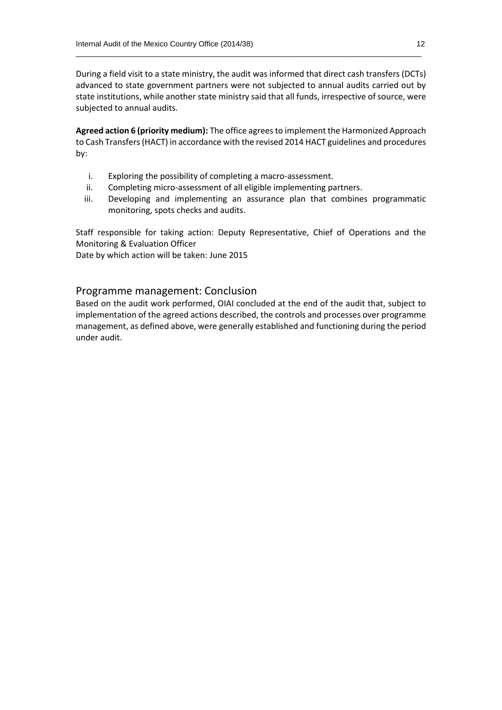During a field visit to a state ministry, the audit was informed that direct cash transfers (DCTs) advanced to state government partners were not subjected to annual audits carried out by state institutions, while another state ministry said that all funds, irrespective of source, were subjected to annual audits.

 $\_$  , and the set of the set of the set of the set of the set of the set of the set of the set of the set of the set of the set of the set of the set of the set of the set of the set of the set of the set of the set of th

**Agreed action 6 (priority medium):** The office agrees to implement the Harmonized Approach to Cash Transfers(HACT) in accordance with the revised 2014 HACT guidelines and procedures by:

- i. Exploring the possibility of completing a macro-assessment.
- ii. Completing micro-assessment of all eligible implementing partners.
- iii. Developing and implementing an assurance plan that combines programmatic monitoring, spots checks and audits.

Staff responsible for taking action: Deputy Representative, Chief of Operations and the Monitoring & Evaluation Officer

Date by which action will be taken: June 2015

#### Programme management: Conclusion

Based on the audit work performed, OIAI concluded at the end of the audit that, subject to implementation of the agreed actions described, the controls and processes over programme management, as defined above, were generally established and functioning during the period under audit.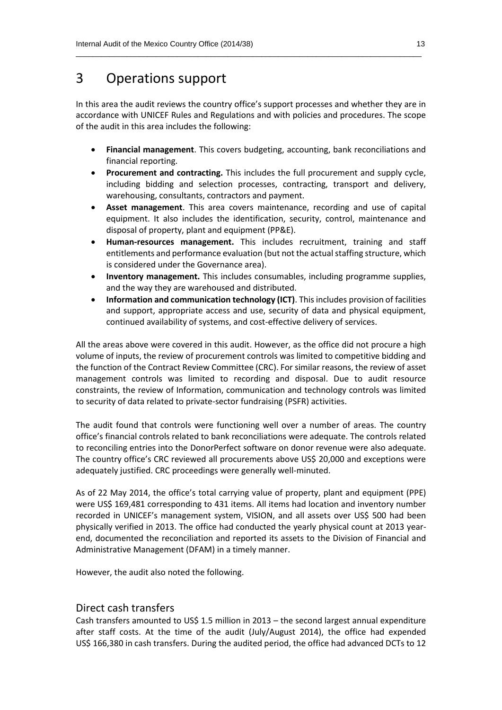## 3 Operations support

In this area the audit reviews the country office's support processes and whether they are in accordance with UNICEF Rules and Regulations and with policies and procedures. The scope of the audit in this area includes the following:

 $\_$  , and the set of the set of the set of the set of the set of the set of the set of the set of the set of the set of the set of the set of the set of the set of the set of the set of the set of the set of the set of th

- **Financial management**. This covers budgeting, accounting, bank reconciliations and financial reporting.
- **Procurement and contracting.** This includes the full procurement and supply cycle, including bidding and selection processes, contracting, transport and delivery, warehousing, consultants, contractors and payment.
- **Asset management**. This area covers maintenance, recording and use of capital equipment. It also includes the identification, security, control, maintenance and disposal of property, plant and equipment (PP&E).
- **Human-resources management.** This includes recruitment, training and staff entitlements and performance evaluation (but not the actual staffing structure, which is considered under the Governance area).
- **Inventory management.** This includes consumables, including programme supplies, and the way they are warehoused and distributed.
- **Information and communication technology (ICT)**. This includes provision of facilities and support, appropriate access and use, security of data and physical equipment, continued availability of systems, and cost-effective delivery of services.

All the areas above were covered in this audit. However, as the office did not procure a high volume of inputs, the review of procurement controls was limited to competitive bidding and the function of the Contract Review Committee (CRC). For similar reasons, the review of asset management controls was limited to recording and disposal. Due to audit resource constraints, the review of Information, communication and technology controls was limited to security of data related to private-sector fundraising (PSFR) activities.

The audit found that controls were functioning well over a number of areas. The country office's financial controls related to bank reconciliations were adequate. The controls related to reconciling entries into the DonorPerfect software on donor revenue were also adequate. The country office's CRC reviewed all procurements above US\$ 20,000 and exceptions were adequately justified. CRC proceedings were generally well-minuted.

As of 22 May 2014, the office's total carrying value of property, plant and equipment (PPE) were US\$ 169,481 corresponding to 431 items. All items had location and inventory number recorded in UNICEF's management system, VISION, and all assets over US\$ 500 had been physically verified in 2013. The office had conducted the yearly physical count at 2013 yearend, documented the reconciliation and reported its assets to the Division of Financial and Administrative Management (DFAM) in a timely manner.

However, the audit also noted the following.

#### Direct cash transfers

Cash transfers amounted to US\$ 1.5 million in 2013 – the second largest annual expenditure after staff costs. At the time of the audit (July/August 2014), the office had expended US\$ 166,380 in cash transfers. During the audited period, the office had advanced DCTs to 12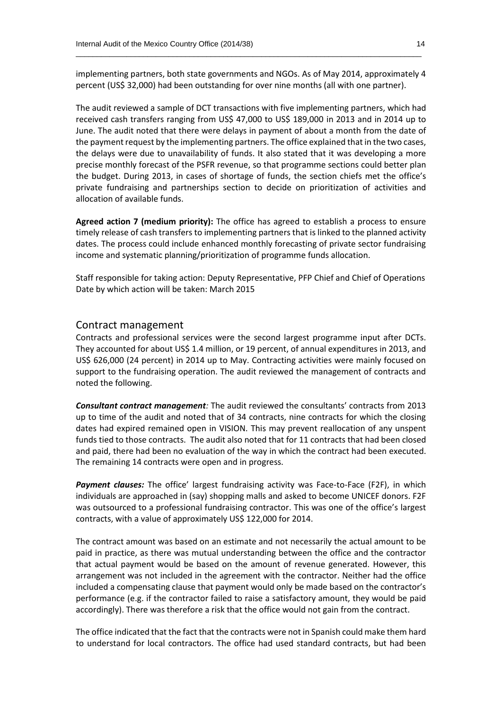implementing partners, both state governments and NGOs. As of May 2014, approximately 4 percent (US\$ 32,000) had been outstanding for over nine months (all with one partner).

 $\_$  , and the set of the set of the set of the set of the set of the set of the set of the set of the set of the set of the set of the set of the set of the set of the set of the set of the set of the set of the set of th

The audit reviewed a sample of DCT transactions with five implementing partners, which had received cash transfers ranging from US\$ 47,000 to US\$ 189,000 in 2013 and in 2014 up to June. The audit noted that there were delays in payment of about a month from the date of the payment request by the implementing partners. The office explained that in the two cases, the delays were due to unavailability of funds. It also stated that it was developing a more precise monthly forecast of the PSFR revenue, so that programme sections could better plan the budget. During 2013, in cases of shortage of funds, the section chiefs met the office's private fundraising and partnerships section to decide on prioritization of activities and allocation of available funds.

**Agreed action 7 (medium priority):** The office has agreed to establish a process to ensure timely release of cash transfers to implementing partners that is linked to the planned activity dates. The process could include enhanced monthly forecasting of private sector fundraising income and systematic planning/prioritization of programme funds allocation.

Staff responsible for taking action: Deputy Representative, PFP Chief and Chief of Operations Date by which action will be taken: March 2015

#### Contract management

Contracts and professional services were the second largest programme input after DCTs. They accounted for about US\$ 1.4 million, or 19 percent, of annual expenditures in 2013, and US\$ 626,000 (24 percent) in 2014 up to May. Contracting activities were mainly focused on support to the fundraising operation. The audit reviewed the management of contracts and noted the following.

*Consultant contract management:* The audit reviewed the consultants' contracts from 2013 up to time of the audit and noted that of 34 contracts, nine contracts for which the closing dates had expired remained open in VISION. This may prevent reallocation of any unspent funds tied to those contracts. The audit also noted that for 11 contracts that had been closed and paid, there had been no evaluation of the way in which the contract had been executed. The remaining 14 contracts were open and in progress.

*Payment clauses:* The office' largest fundraising activity was Face-to-Face (F2F), in which individuals are approached in (say) shopping malls and asked to become UNICEF donors. F2F was outsourced to a professional fundraising contractor. This was one of the office's largest contracts, with a value of approximately US\$ 122,000 for 2014.

The contract amount was based on an estimate and not necessarily the actual amount to be paid in practice, as there was mutual understanding between the office and the contractor that actual payment would be based on the amount of revenue generated. However, this arrangement was not included in the agreement with the contractor. Neither had the office included a compensating clause that payment would only be made based on the contractor's performance (e.g. if the contractor failed to raise a satisfactory amount, they would be paid accordingly). There was therefore a risk that the office would not gain from the contract.

The office indicated that the fact that the contracts were not in Spanish could make them hard to understand for local contractors. The office had used standard contracts, but had been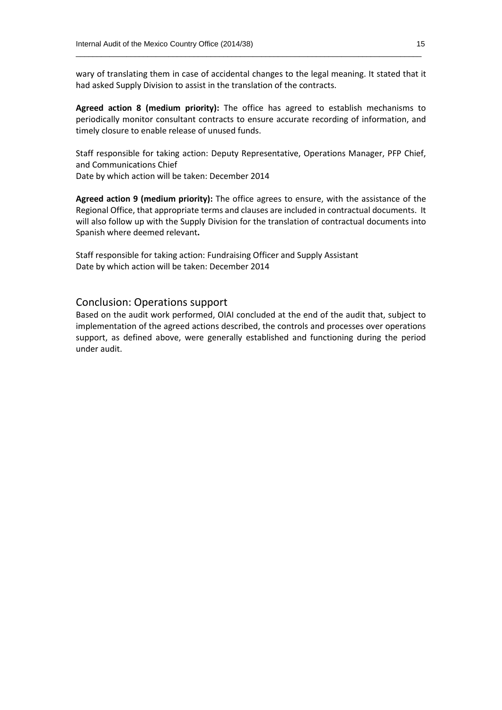wary of translating them in case of accidental changes to the legal meaning. It stated that it had asked Supply Division to assist in the translation of the contracts.

 $\_$  , and the set of the set of the set of the set of the set of the set of the set of the set of the set of the set of the set of the set of the set of the set of the set of the set of the set of the set of the set of th

**Agreed action 8 (medium priority):** The office has agreed to establish mechanisms to periodically monitor consultant contracts to ensure accurate recording of information, and timely closure to enable release of unused funds.

Staff responsible for taking action: Deputy Representative, Operations Manager, PFP Chief, and Communications Chief

Date by which action will be taken: December 2014

**Agreed action 9 (medium priority):** The office agrees to ensure, with the assistance of the Regional Office, that appropriate terms and clauses are included in contractual documents. It will also follow up with the Supply Division for the translation of contractual documents into Spanish where deemed relevant**.** 

Staff responsible for taking action: Fundraising Officer and Supply Assistant Date by which action will be taken: December 2014

#### Conclusion: Operations support

Based on the audit work performed, OIAI concluded at the end of the audit that, subject to implementation of the agreed actions described, the controls and processes over operations support, as defined above, were generally established and functioning during the period under audit.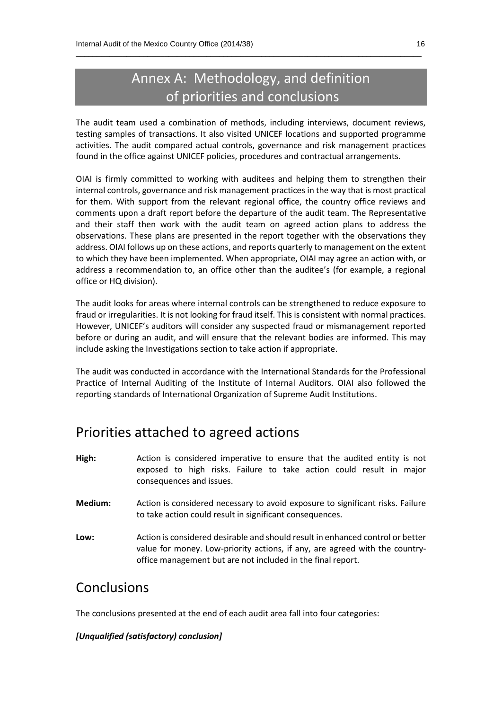## Annex A: Methodology, and definition of priorities and conclusions

 $\_$  , and the set of the set of the set of the set of the set of the set of the set of the set of the set of the set of the set of the set of the set of the set of the set of the set of the set of the set of the set of th

The audit team used a combination of methods, including interviews, document reviews, testing samples of transactions. It also visited UNICEF locations and supported programme activities. The audit compared actual controls, governance and risk management practices found in the office against UNICEF policies, procedures and contractual arrangements.

OIAI is firmly committed to working with auditees and helping them to strengthen their internal controls, governance and risk management practices in the way that is most practical for them. With support from the relevant regional office, the country office reviews and comments upon a draft report before the departure of the audit team. The Representative and their staff then work with the audit team on agreed action plans to address the observations. These plans are presented in the report together with the observations they address. OIAI follows up on these actions, and reports quarterly to management on the extent to which they have been implemented. When appropriate, OIAI may agree an action with, or address a recommendation to, an office other than the auditee's (for example, a regional office or HQ division).

The audit looks for areas where internal controls can be strengthened to reduce exposure to fraud or irregularities. It is not looking for fraud itself. This is consistent with normal practices. However, UNICEF's auditors will consider any suspected fraud or mismanagement reported before or during an audit, and will ensure that the relevant bodies are informed. This may include asking the Investigations section to take action if appropriate.

The audit was conducted in accordance with the International Standards for the Professional Practice of Internal Auditing of the Institute of Internal Auditors. OIAI also followed the reporting standards of International Organization of Supreme Audit Institutions.

## Priorities attached to agreed actions

- **High:** Action is considered imperative to ensure that the audited entity is not exposed to high risks. Failure to take action could result in major consequences and issues.
- **Medium:** Action is considered necessary to avoid exposure to significant risks. Failure to take action could result in significant consequences.
- **Low:** Action is considered desirable and should result in enhanced control or better value for money. Low-priority actions, if any, are agreed with the countryoffice management but are not included in the final report.

## Conclusions

The conclusions presented at the end of each audit area fall into four categories:

#### *[Unqualified (satisfactory) conclusion]*